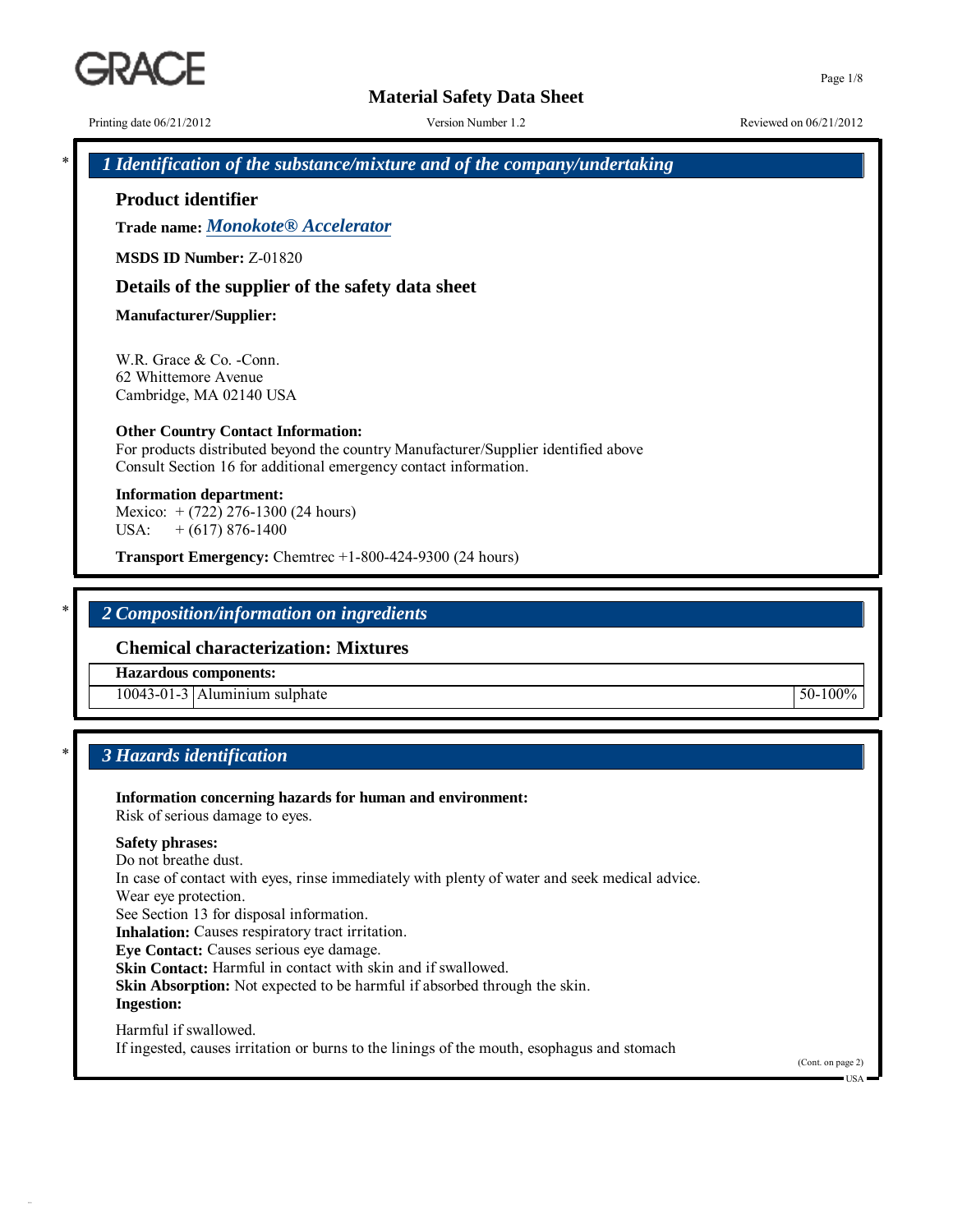# **Material Safety Data Sheet**

Printing date  $06/21/2012$  Version Number 1.2 Reviewed on  $06/21/2012$ 

\* *1 Identification of the substance/mixture and of the company/undertaking*

**Product identifier**

**Trade name:** *Monokote® Accelerator*

**MSDS ID Number:** Z-01820

# **Details of the supplier of the safety data sheet**

**Manufacturer/Supplier:**

W.R. Grace & Co. -Conn. 62 Whittemore Avenue Cambridge, MA 02140 USA

#### **Other Country Contact Information:**

For products distributed beyond the country Manufacturer/Supplier identified above Consult Section 16 for additional emergency contact information.

**Information department:** Mexico: + (722) 276-1300 (24 hours) USA:  $+ (617) 876-1400$ 

**Transport Emergency:** Chemtrec +1-800-424-9300 (24 hours)

# \* *2 Composition/information on ingredients*

## **Chemical characterization: Mixtures**

**Hazardous components:**

10043-01-3 Aluminium sulphate 50-100%

# \* *3 Hazards identification*

**Information concerning hazards for human and environment:** Risk of serious damage to eyes.

#### **Safety phrases:**

Do not breathe dust. In case of contact with eyes, rinse immediately with plenty of water and seek medical advice. Wear eye protection. See Section 13 for disposal information. **Inhalation:** Causes respiratory tract irritation. **Eye Contact:** Causes serious eye damage. **Skin Contact:** Harmful in contact with skin and if swallowed. **Skin Absorption:** Not expected to be harmful if absorbed through the skin. **Ingestion:** Harmful if swallowed.

If ingested, causes irritation or burns to the linings of the mouth, esophagus and stomach

(Cont. on page 2)

 $\blacksquare$  US A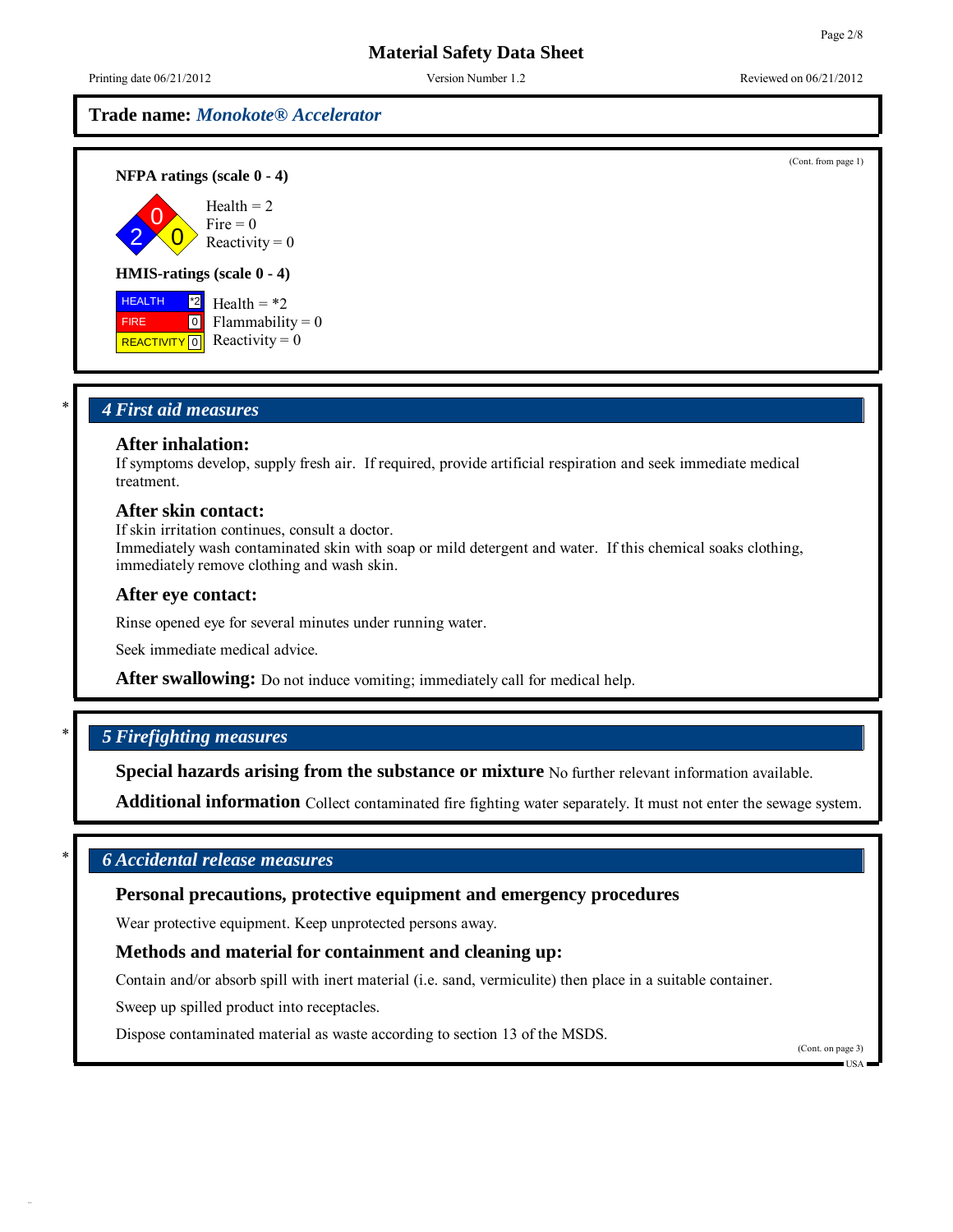(Cont. from page 1)

# **Material Safety Data Sheet**

Printing date  $06/21/2012$  Version Number 1.2 Reviewed on  $06/21/2012$ 

# **Trade name:** *Monokote® Accelerator*

**NFPA ratings (scale 0 - 4)**



#### **HMIS-ratings (scale 0 - 4)**

 HEALTH FIRE **REACTIVITY** 0  $^*2$  $\overline{0}$ Health  $=$  \*2  $Flammability = 0$ Reactivity  $= 0$ 

## \* *4 First aid measures*

# **After inhalation:**

If symptoms develop, supply fresh air. If required, provide artificial respiration and seek immediate medical treatment.

#### **After skin contact:**

If skin irritation continues, consult a doctor.

Immediately wash contaminated skin with soap or mild detergent and water. If this chemical soaks clothing, immediately remove clothing and wash skin.

#### **After eye contact:**

Rinse opened eye for several minutes under running water.

Seek immediate medical advice.

**After swallowing:** Do not induce vomiting; immediately call for medical help.

# \* *5 Firefighting measures*

**Special hazards arising from the substance or mixture** No further relevant information available.

**Additional information** Collect contaminated fire fighting water separately. It must not enter the sewage system.

# \* *6 Accidental release measures*

## **Personal precautions, protective equipment and emergency procedures**

Wear protective equipment. Keep unprotected persons away.

## **Methods and material for containment and cleaning up:**

Contain and/or absorb spill with inert material (i.e. sand, vermiculite) then place in a suitable container.

Sweep up spilled product into receptacles.

Dispose contaminated material as waste according to section 13 of the MSDS.

(Cont. on page 3)

USA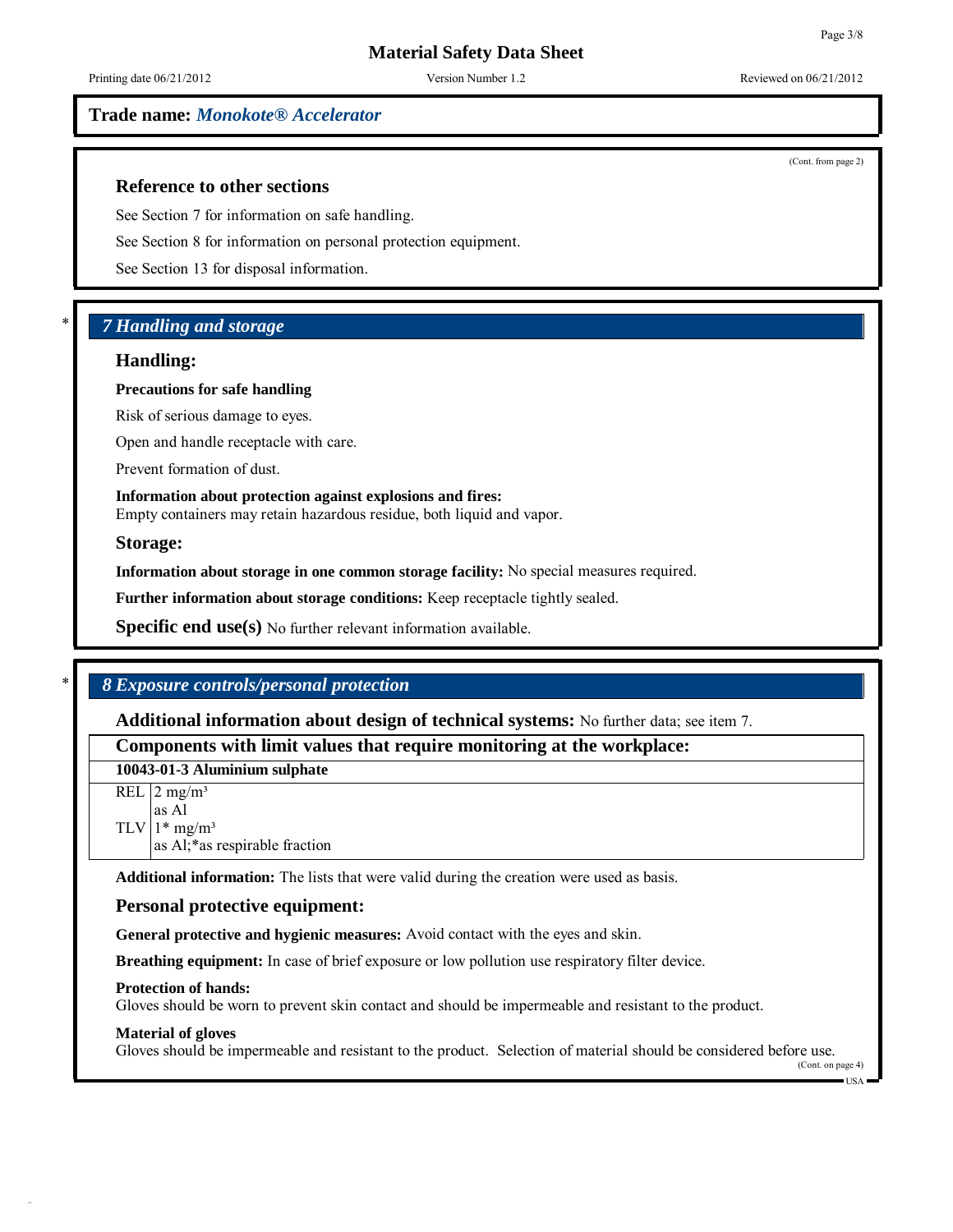**Trade name:** *Monokote® Accelerator*

**Reference to other sections**

See Section 7 for information on safe handling.

See Section 8 for information on personal protection equipment.

See Section 13 for disposal information.

# \* *7 Handling and storage*

## **Handling:**

#### **Precautions for safe handling**

Risk of serious damage to eyes.

Open and handle receptacle with care.

Prevent formation of dust.

**Information about protection against explosions and fires:** Empty containers may retain hazardous residue, both liquid and vapor.

**Storage:**

**Information about storage in one common storage facility:** No special measures required.

**Further information about storage conditions:** Keep receptacle tightly sealed.

**Specific end use(s)** No further relevant information available.

# \* *8 Exposure controls/personal protection*

**Additional information about design of technical systems:** No further data; see item 7.

**Components with limit values that require monitoring at the workplace:**

**10043-01-3 Aluminium sulphate**

 $REL$  | 2 mg/m<sup>3</sup>  $TLV$ | 1\* mg/m<sup>3</sup> as Al as Al;\*as respirable fraction

**Additional information:** The lists that were valid during the creation were used as basis.

# **Personal protective equipment:**

**General protective and hygienic measures:** Avoid contact with the eyes and skin.

**Breathing equipment:** In case of brief exposure or low pollution use respiratory filter device.

#### **Protection of hands:**

Gloves should be worn to prevent skin contact and should be impermeable and resistant to the product.

#### **Material of gloves**

Gloves should be impermeable and resistant to the product. Selection of material should be considered before use.

(Cont. from page 2)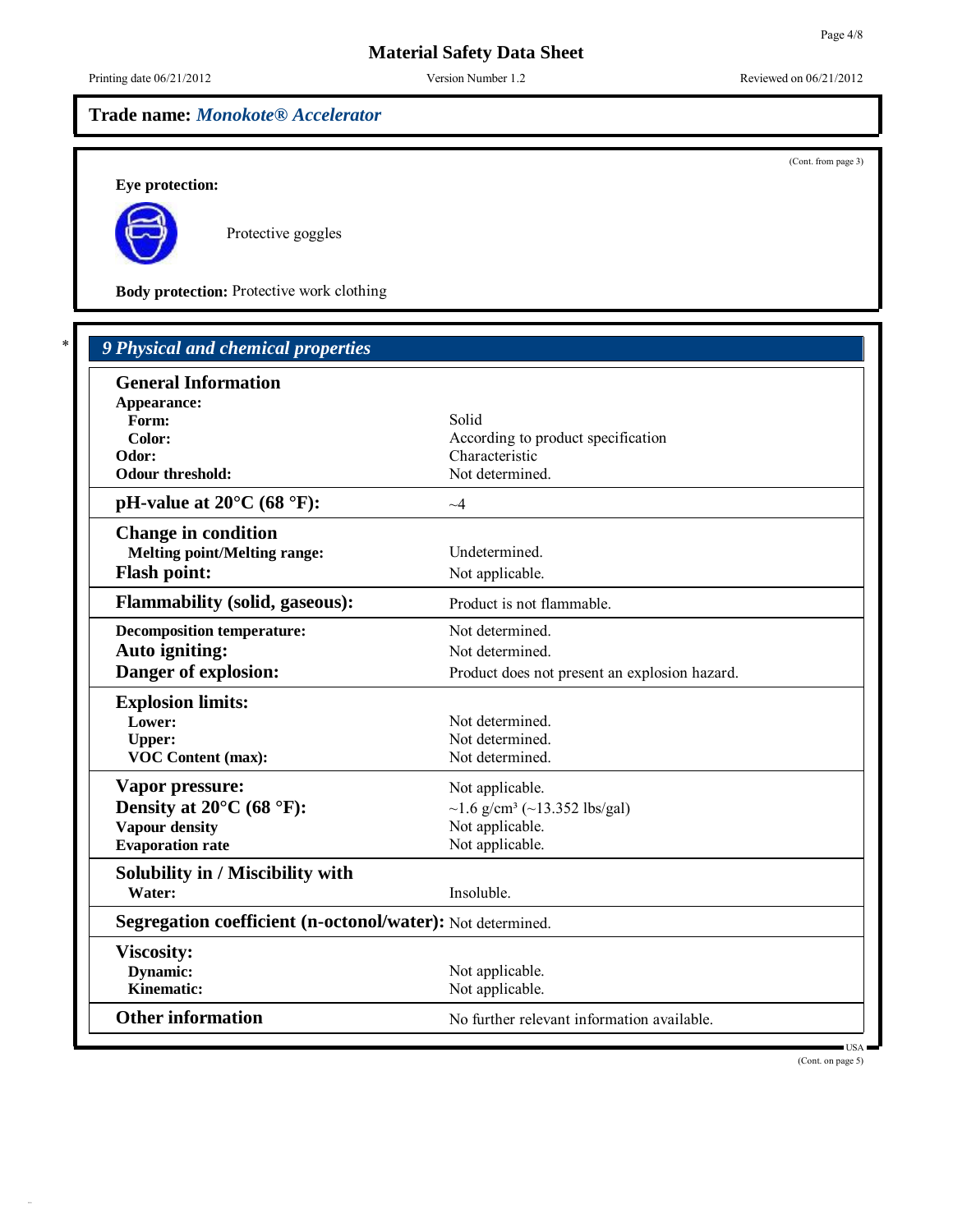# **Trade name:** *Monokote® Accelerator*

(Cont. from page 3)

**Eye protection:**



f

34.0.9

Protective goggles

**Body protection:** Protective work clothing

| <b>General Information</b>                                 |                                               |  |
|------------------------------------------------------------|-----------------------------------------------|--|
| Appearance:                                                |                                               |  |
| Form:                                                      | Solid                                         |  |
| Color:                                                     | According to product specification            |  |
| Odor:                                                      | Characteristic                                |  |
| <b>Odour threshold:</b>                                    | Not determined.                               |  |
| pH-value at $20^{\circ}$ C (68 $^{\circ}$ F):              | $\sim$ 4                                      |  |
| <b>Change in condition</b>                                 |                                               |  |
| <b>Melting point/Melting range:</b>                        | Undetermined.                                 |  |
| <b>Flash point:</b>                                        | Not applicable.                               |  |
| <b>Flammability (solid, gaseous):</b>                      | Product is not flammable.                     |  |
| <b>Decomposition temperature:</b>                          | Not determined.                               |  |
| <b>Auto igniting:</b>                                      | Not determined.                               |  |
| Danger of explosion:                                       | Product does not present an explosion hazard. |  |
| <b>Explosion limits:</b>                                   |                                               |  |
| Lower:                                                     | Not determined.                               |  |
| <b>Upper:</b>                                              | Not determined.                               |  |
| <b>VOC Content (max):</b>                                  | Not determined.                               |  |
| Vapor pressure:                                            | Not applicable.                               |  |
| Density at $20^{\circ}$ C (68 $^{\circ}$ F):               | ~1.6 g/cm <sup>3</sup> (~13.352 lbs/gal)      |  |
| <b>Vapour density</b>                                      | Not applicable.                               |  |
| <b>Evaporation rate</b>                                    | Not applicable.                               |  |
| Solubility in / Miscibility with                           |                                               |  |
| Water:                                                     | Insoluble.                                    |  |
| Segregation coefficient (n-octonol/water): Not determined. |                                               |  |
| <b>Viscosity:</b>                                          |                                               |  |
| <b>Dynamic:</b>                                            | Not applicable.                               |  |
| Kinematic:                                                 | Not applicable.                               |  |
| <b>Other information</b>                                   | No further relevant information available.    |  |

(Cont. on page 5)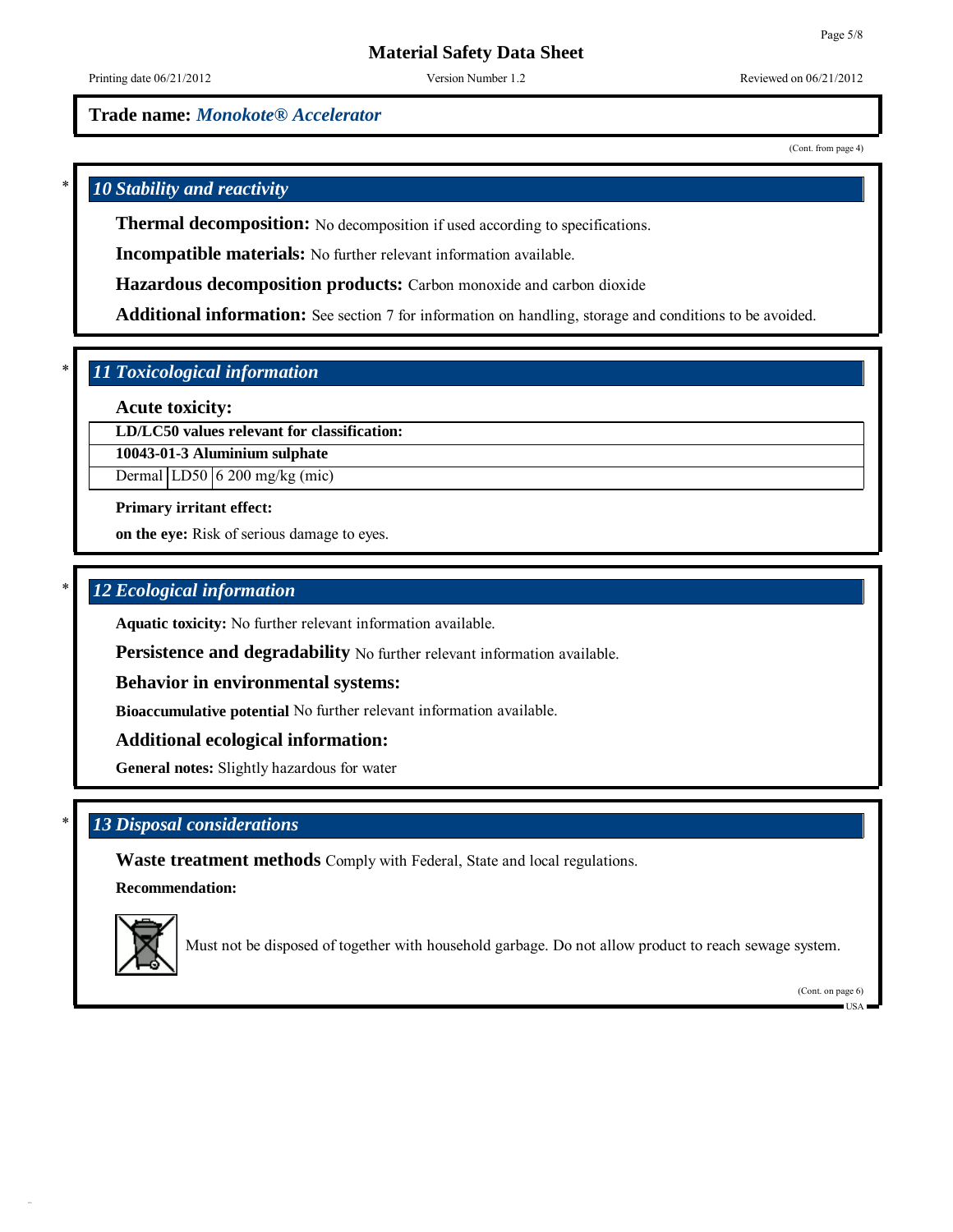**Trade name:** *Monokote® Accelerator*

(Cont. from page 4)

# \* *10 Stability and reactivity*

**Thermal decomposition:** No decomposition if used according to specifications.

**Incompatible materials:** No further relevant information available.

**Hazardous decomposition products:** Carbon monoxide and carbon dioxide

**Additional information:** See section 7 for information on handling, storage and conditions to be avoided.

# \* *11 Toxicological information*

**Acute toxicity:**

**LD/LC50 values relevant for classification:**

**10043-01-3 Aluminium sulphate**

Dermal  $|LD50|$  6 200 mg/kg (mic)

**Primary irritant effect:**

**on the eye:** Risk of serious damage to eyes.

# \* *12 Ecological information*

**Aquatic toxicity:** No further relevant information available.

**Persistence and degradability** No further relevant information available.

**Behavior in environmental systems:**

**Bioaccumulative potential** No further relevant information available.

**Additional ecological information:**

**General notes:** Slightly hazardous for water

# \* *13 Disposal considerations*

**Waste treatment methods** Comply with Federal, State and local regulations.

**Recommendation:**



Must not be disposed of together with household garbage. Do not allow product to reach sewage system.

(Cont. on page 6)

USA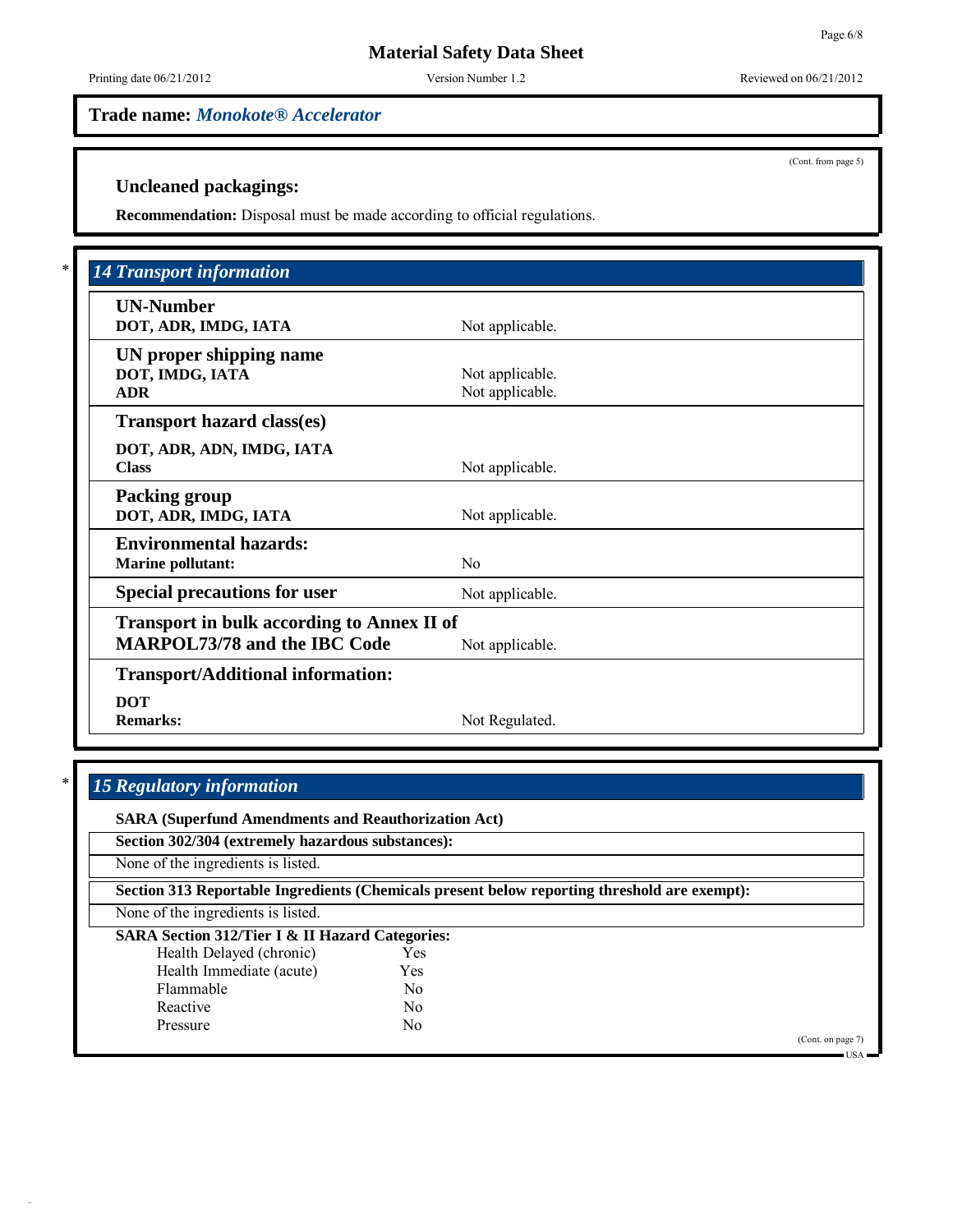**Trade name:** *Monokote® Accelerator*

(Cont. from page 5)

# **Uncleaned packagings:**

**Recommendation:** Disposal must be made according to official regulations.

| <b>UN-Number</b>                                  |                 |  |
|---------------------------------------------------|-----------------|--|
| DOT, ADR, IMDG, IATA                              | Not applicable. |  |
| UN proper shipping name                           |                 |  |
| DOT, IMDG, IATA                                   | Not applicable. |  |
| <b>ADR</b>                                        | Not applicable. |  |
| <b>Transport hazard class(es)</b>                 |                 |  |
| DOT, ADR, ADN, IMDG, IATA                         |                 |  |
| <b>Class</b>                                      | Not applicable. |  |
| <b>Packing group</b>                              |                 |  |
| DOT, ADR, IMDG, IATA                              | Not applicable. |  |
| <b>Environmental hazards:</b>                     |                 |  |
| <b>Marine pollutant:</b>                          | N <sub>0</sub>  |  |
| <b>Special precautions for user</b>               | Not applicable. |  |
| <b>Transport in bulk according to Annex II of</b> |                 |  |
| <b>MARPOL73/78 and the IBC Code</b>               | Not applicable. |  |
| <b>Transport/Additional information:</b>          |                 |  |
| <b>DOT</b>                                        |                 |  |
| <b>Remarks:</b>                                   | Not Regulated.  |  |

# \* *15 Regulatory information*

| Section 302/304 (extremely hazardous substances):          |                                                                                              |                   |
|------------------------------------------------------------|----------------------------------------------------------------------------------------------|-------------------|
| None of the ingredients is listed.                         |                                                                                              |                   |
|                                                            | Section 313 Reportable Ingredients (Chemicals present below reporting threshold are exempt): |                   |
| None of the ingredients is listed.                         |                                                                                              |                   |
| <b>SARA Section 312/Tier I &amp; II Hazard Categories:</b> |                                                                                              |                   |
| Health Delayed (chronic)                                   | Yes                                                                                          |                   |
| Health Immediate (acute)                                   | Yes                                                                                          |                   |
| Flammable                                                  | N <sub>0</sub>                                                                               |                   |
| Reactive                                                   | No.                                                                                          |                   |
| Pressure                                                   | No                                                                                           |                   |
|                                                            |                                                                                              | (Cont. on page 7) |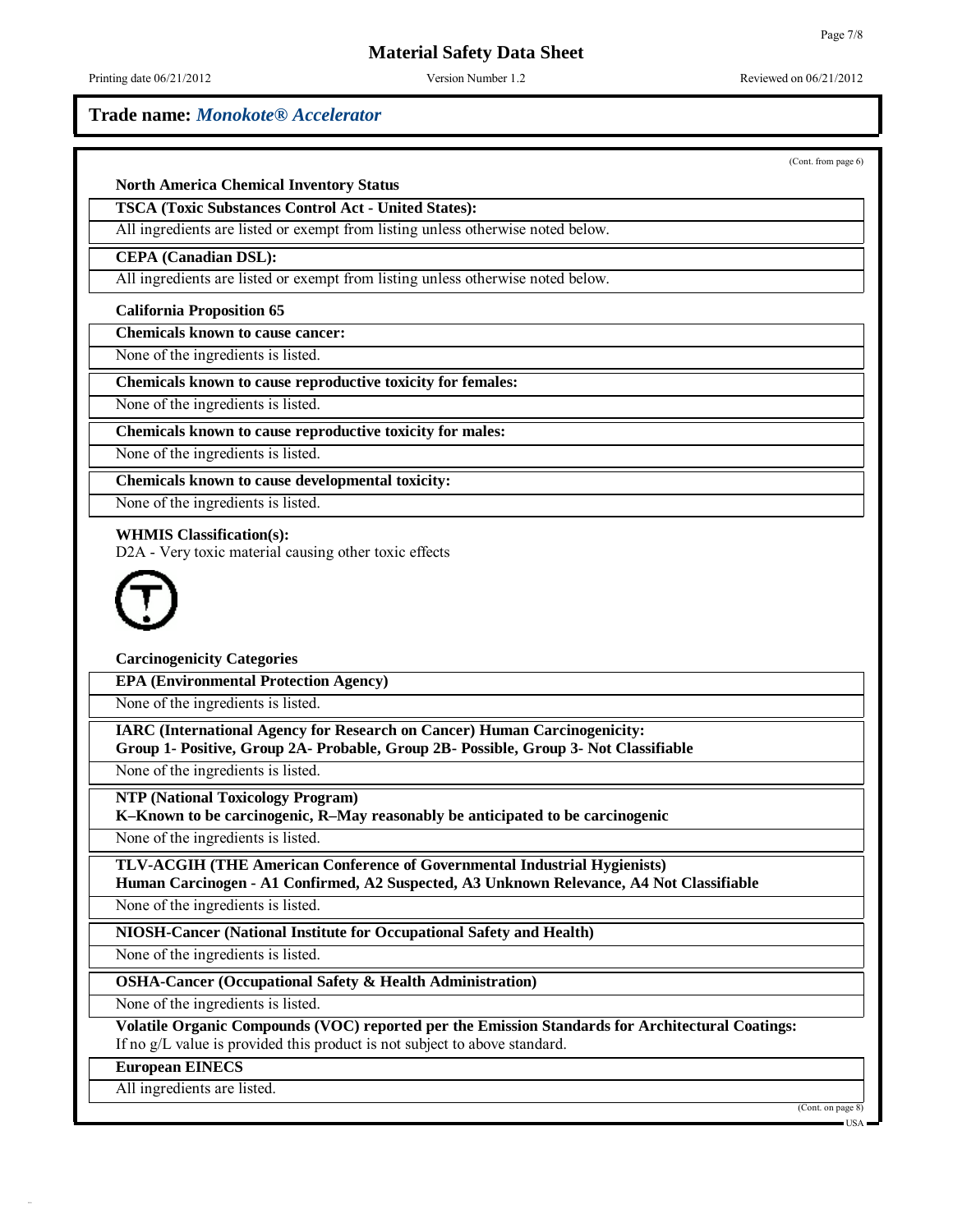# **Material Safety Data Sheet**

Printing date  $06/21/2012$  Version Number 1.2 Reviewed on  $06/21/2012$ 

## **Trade name:** *Monokote® Accelerator*

(Cont. from page 6)

## **North America Chemical Inventory Status**

**TSCA (Toxic Substances Control Act - United States):**

All ingredients are listed or exempt from listing unless otherwise noted below.

#### **CEPA (Canadian DSL):**

All ingredients are listed or exempt from listing unless otherwise noted below.

#### **California Proposition 65**

**Chemicals known to cause cancer:**

None of the ingredients is listed.

**Chemicals known to cause reproductive toxicity for females:**

None of the ingredients is listed.

**Chemicals known to cause reproductive toxicity for males:**

None of the ingredients is listed.

**Chemicals known to cause developmental toxicity:**

None of the ingredients is listed.

#### **WHMIS Classification(s):**

D2A - Very toxic material causing other toxic effects



**Carcinogenicity Categories**

**EPA (Environmental Protection Agency)**

None of the ingredients is listed.

**IARC (International Agency for Research on Cancer) Human Carcinogenicity:**

**Group 1- Positive, Group 2A- Probable, Group 2B- Possible, Group 3- Not Classifiable**

None of the ingredients is listed.

**NTP (National Toxicology Program)**

**K–Known to be carcinogenic, R–May reasonably be anticipated to be carcinogenic**

None of the ingredients is listed.

**TLV-ACGIH (THE American Conference of Governmental Industrial Hygienists) Human Carcinogen - A1 Confirmed, A2 Suspected, A3 Unknown Relevance, A4 Not Classifiable**

None of the ingredients is listed.

**NIOSH-Cancer (National Institute for Occupational Safety and Health)**

None of the ingredients is listed.

**OSHA-Cancer (Occupational Safety & Health Administration)**

None of the ingredients is listed.

**Volatile Organic Compounds (VOC) reported per the Emission Standards for Architectural Coatings:** If no g/L value is provided this product is not subject to above standard.

**European EINECS**

All ingredients are listed.